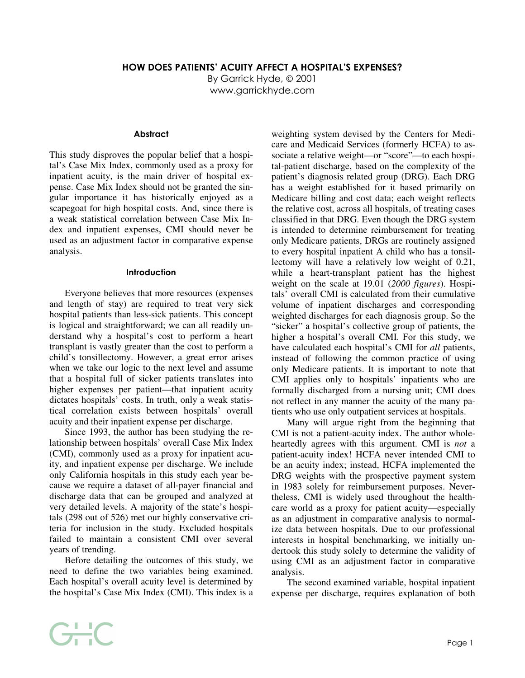By Garrick Hyde, © 2001 www.garrickhyde.com

## **Abstract**

This study disproves the popular belief that a hospital's Case Mix Index, commonly used as a proxy for inpatient acuity, is the main driver of hospital expense. Case Mix Index should not be granted the singular importance it has historically enjoyed as a scapegoat for high hospital costs. And, since there is a weak statistical correlation between Case Mix Index and inpatient expenses, CMI should never be used as an adjustment factor in comparative expense analysis.

## Introduction

Everyone believes that more resources (expenses and length of stay) are required to treat very sick hospital patients than less-sick patients. This concept is logical and straightforward; we can all readily understand why a hospital's cost to perform a heart transplant is vastly greater than the cost to perform a child's tonsillectomy. However, a great error arises when we take our logic to the next level and assume that a hospital full of sicker patients translates into higher expenses per patient—that inpatient acuity dictates hospitals' costs. In truth, only a weak statistical correlation exists between hospitals' overall acuity and their inpatient expense per discharge.

Since 1993, the author has been studying the relationship between hospitals' overall Case Mix Index (CMI), commonly used as a proxy for inpatient acuity, and inpatient expense per discharge. We include only California hospitals in this study each year because we require a dataset of all-payer financial and discharge data that can be grouped and analyzed at very detailed levels. A majority of the state's hospitals (298 out of 526) met our highly conservative criteria for inclusion in the study. Excluded hospitals failed to maintain a consistent CMI over several years of trending.

Before detailing the outcomes of this study, we need to define the two variables being examined. Each hospital's overall acuity level is determined by the hospital's Case Mix Index (CMI). This index is a weighting system devised by the Centers for Medicare and Medicaid Services (formerly HCFA) to associate a relative weight—or "score"—to each hospital-patient discharge, based on the complexity of the patient's diagnosis related group (DRG). Each DRG has a weight established for it based primarily on Medicare billing and cost data; each weight reflects the relative cost, across all hospitals, of treating cases classified in that DRG. Even though the DRG system is intended to determine reimbursement for treating only Medicare patients, DRGs are routinely assigned to every hospital inpatient A child who has a tonsillectomy will have a relatively low weight of 0.21, while a heart-transplant patient has the highest weight on the scale at 19.01 (*2000 figures*). Hospitals' overall CMI is calculated from their cumulative volume of inpatient discharges and corresponding weighted discharges for each diagnosis group. So the "sicker" a hospital's collective group of patients, the higher a hospital's overall CMI. For this study, we have calculated each hospital's CMI for *all* patients, instead of following the common practice of using only Medicare patients. It is important to note that CMI applies only to hospitals' inpatients who are formally discharged from a nursing unit; CMI does not reflect in any manner the acuity of the many patients who use only outpatient services at hospitals.

Many will argue right from the beginning that CMI is not a patient-acuity index. The author wholeheartedly agrees with this argument. CMI is *not* a patient-acuity index! HCFA never intended CMI to be an acuity index; instead, HCFA implemented the DRG weights with the prospective payment system in 1983 solely for reimbursement purposes. Nevertheless, CMI is widely used throughout the healthcare world as a proxy for patient acuity—especially as an adjustment in comparative analysis to normalize data between hospitals. Due to our professional interests in hospital benchmarking, we initially undertook this study solely to determine the validity of using CMI as an adjustment factor in comparative analysis.

The second examined variable, hospital inpatient expense per discharge, requires explanation of both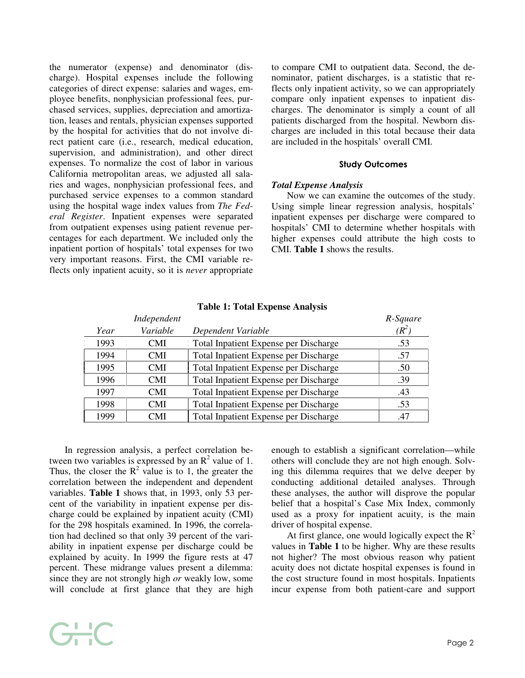the numerator (expense) and denominator (discharge). Hospital expenses include the following categories of direct expense: salaries and wages, employee benefits, nonphysician professional fees, purchased services, supplies, depreciation and amortization, leases and rentals, physician expenses supported by the hospital for activities that do not involve direct patient care (i.e., research, medical education, supervision, and administration), and other direct expenses. To normalize the cost of labor in various California metropolitan areas, we adjusted all salaries and wages, nonphysician professional fees, and purchased service expenses to a common standard using the hospital wage index values from *The Federal Register*. Inpatient expenses were separated from outpatient expenses using patient revenue percentages for each department. We included only the inpatient portion of hospitals' total expenses for two very important reasons. First, the CMI variable reflects only inpatient acuity, so it is *never* appropriate to compare CMI to outpatient data. Second, the denominator, patient discharges, is a statistic that reflects only inpatient activity, so we can appropriately compare only inpatient expenses to inpatient discharges. The denominator is simply a count of all patients discharged from the hospital. Newborn discharges are included in this total because their data are included in the hospitals' overall CMI.

#### Study Outcomes

#### *Total Expense Analysis*

Now we can examine the outcomes of the study. Using simple linear regression analysis, hospitals' inpatient expenses per discharge were compared to hospitals' CMI to determine whether hospitals with higher expenses could attribute the high costs to CMI. **Table 1** shows the results.

|      | Independent |                                              | R-Square |
|------|-------------|----------------------------------------------|----------|
| Year | Variable    | Dependent Variable                           |          |
| 1993 | 'ML         | Total Inpatient Expense per Discharge        |          |
| 1994 |             | Total Inpatient Expense per Discharge        |          |
| 1995 |             | Total Inpatient Expense per Discharge        | 50       |
| 1996 | 'MI         | Total Inpatient Expense per Discharge        | 39       |
| 1997 | 'MI         | Total Inpatient Expense per Discharge        |          |
|      |             | Total Inpatient Expense per Discharge        |          |
|      |             | <b>Total Inpatient Expense per Discharge</b> |          |

**Table 1: Total Expense Analysis**

In regression analysis, a perfect correlation between two variables is expressed by an  $\mathbb{R}^2$  value of 1. Thus, the closer the  $R^2$  value is to 1, the greater the correlation between the independent and dependent variables. **Table 1** shows that, in 1993, only 53 percent of the variability in inpatient expense per discharge could be explained by inpatient acuity (CMI) for the 298 hospitals examined. In 1996, the correlation had declined so that only 39 percent of the variability in inpatient expense per discharge could be explained by acuity. In 1999 the figure rests at 47 percent. These midrange values present a dilemma: since they are not strongly high *or* weakly low, some will conclude at first glance that they are high

G-C

enough to establish a significant correlation—while others will conclude they are not high enough. Solving this dilemma requires that we delve deeper by conducting additional detailed analyses. Through these analyses, the author will disprove the popular belief that a hospital's Case Mix Index, commonly used as a proxy for inpatient acuity, is the main driver of hospital expense.

At first glance, one would logically expect the  $R^2$ values in **Table 1** to be higher. Why are these results not higher? The most obvious reason why patient acuity does not dictate hospital expenses is found in the cost structure found in most hospitals. Inpatients incur expense from both patient-care and support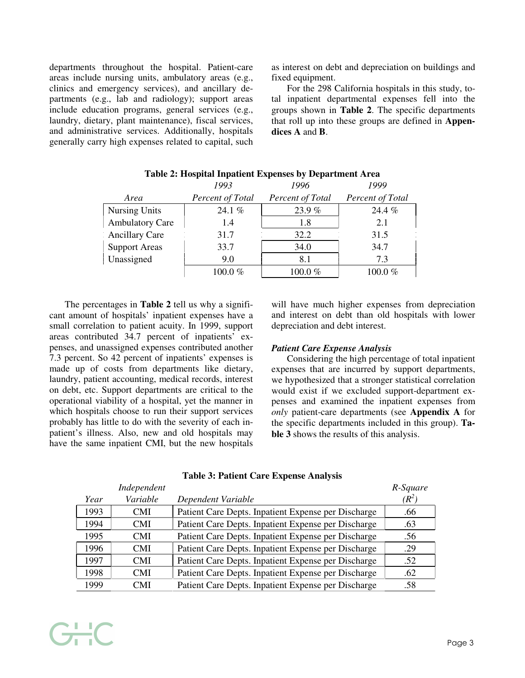departments throughout the hospital. Patient-care areas include nursing units, ambulatory areas (e.g., clinics and emergency services), and ancillary departments (e.g., lab and radiology); support areas include education programs, general services (e.g., laundry, dietary, plant maintenance), fiscal services, and administrative services. Additionally, hospitals generally carry high expenses related to capital, such as interest on debt and depreciation on buildings and fixed equipment.

For the 298 California hospitals in this study, total inpatient departmental expenses fell into the groups shown in **Table 2**. The specific departments that roll up into these groups are defined in **Appendices A** and **B**.

|                        | 1993             | 1996             |                         |
|------------------------|------------------|------------------|-------------------------|
| Area                   | Percent of Total | Percent of Total | <b>Percent of Total</b> |
| <b>Nursing Units</b>   | 24.1 $%$         | 23.9%            | $24.4\%$                |
| <b>Ambulatory Care</b> |                  | 18               | 21                      |
| <b>Ancillary Care</b>  | 31 7             | 32.2             | 31.5                    |
| <b>Support Areas</b>   | 33.7             | 34 O             | 34.7                    |
| Unassigned             | 90               |                  | 73                      |
|                        | $900\%$          | 100 0 %          |                         |

# **Table 2: Hospital Inpatient Expenses by Department Area**

The percentages in **Table 2** tell us why a significant amount of hospitals' inpatient expenses have a small correlation to patient acuity. In 1999, support areas contributed 34.7 percent of inpatients' expenses, and unassigned expenses contributed another 7.3 percent. So 42 percent of inpatients' expenses is made up of costs from departments like dietary, laundry, patient accounting, medical records, interest on debt, etc. Support departments are critical to the operational viability of a hospital, yet the manner in which hospitals choose to run their support services probably has little to do with the severity of each inpatient's illness. Also, new and old hospitals may have the same inpatient CMI, but the new hospitals

GHC

will have much higher expenses from depreciation and interest on debt than old hospitals with lower depreciation and debt interest.

## *Patient Care Expense Analysis*

Considering the high percentage of total inpatient expenses that are incurred by support departments, we hypothesized that a stronger statistical correlation would exist if we excluded support-department expenses and examined the inpatient expenses from *only* patient-care departments (see **Appendix A** for the specific departments included in this group). **Table 3** shows the results of this analysis.

|      | Independent |                                                     | R-Square |
|------|-------------|-----------------------------------------------------|----------|
| Year | Variable    | Dependent Variable                                  | $(R^2)$  |
| 1993 | CMI         | Patient Care Depts. Inpatient Expense per Discharge | .66      |
| 1994 | CMI         | Patient Care Depts. Inpatient Expense per Discharge | .63      |
| 1995 | CMI         | Patient Care Depts. Inpatient Expense per Discharge | .56      |
| 1996 | CMI         | Patient Care Depts. Inpatient Expense per Discharge | .29      |
| 1997 | 'MI         | Patient Care Depts. Inpatient Expense per Discharge | .52      |
| 1998 | 'MI         | Patient Care Depts. Inpatient Expense per Discharge | .62      |
| 1999 | CMI         | Patient Care Depts. Inpatient Expense per Discharge | .58      |

## **Table 3: Patient Care Expense Analysis**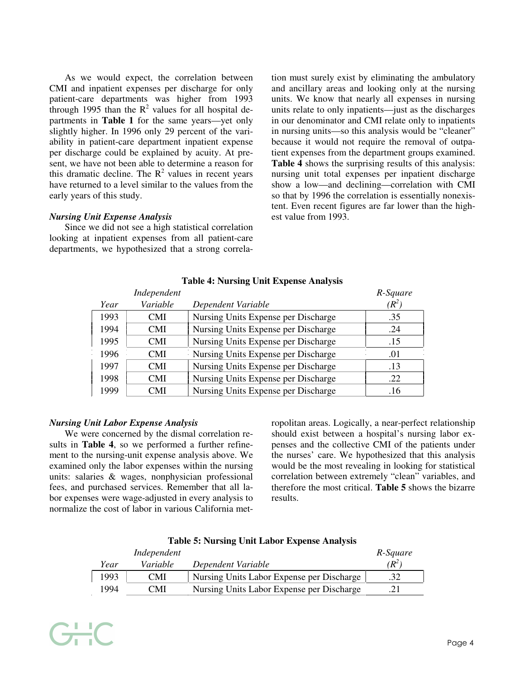As we would expect, the correlation between CMI and inpatient expenses per discharge for only patient-care departments was higher from 1993 through 1995 than the  $R^2$  values for all hospital departments in **Table 1** for the same years—yet only slightly higher. In 1996 only 29 percent of the variability in patient-care department inpatient expense per discharge could be explained by acuity. At present, we have not been able to determine a reason for this dramatic decline. The  $R^2$  values in recent years have returned to a level similar to the values from the early years of this study.

tion must surely exist by eliminating the ambulatory and ancillary areas and looking only at the nursing units. We know that nearly all expenses in nursing units relate to only inpatients—just as the discharges in our denominator and CMI relate only to inpatients in nursing units—so this analysis would be "cleaner" because it would not require the removal of outpatient expenses from the department groups examined. **Table 4** shows the surprising results of this analysis: nursing unit total expenses per inpatient discharge show a low—and declining—correlation with CMI so that by 1996 the correlation is essentially nonexistent. Even recent figures are far lower than the highest value from 1993.

# *Nursing Unit Expense Analysis*

Since we did not see a high statistical correlation looking at inpatient expenses from all patient-care departments, we hypothesized that a strong correla-

|      | Independent |                                     | R-Square |
|------|-------------|-------------------------------------|----------|
| Year | Variable    | Dependent Variable                  | $R^2$    |
| 1993 | CMI         | Nursing Units Expense per Discharge | 35       |
| 1994 | CMI.        | Nursing Units Expense per Discharge | 24       |
| 1995 | L'MI        | Nursing Units Expense per Discharge |          |
| 1996 | `N/LI       | Nursing Units Expense per Discharge |          |
| 1997 |             | Nursing Units Expense per Discharge |          |
| 1998 |             | Nursing Units Expense per Discharge |          |
| 999  |             | Nursing Units Expense per Discharge |          |

## **Table 4: Nursing Unit Expense Analysis**

## *Nursing Unit Labor Expense Analysis*

 $-$ 

We were concerned by the dismal correlation results in **Table 4**, so we performed a further refinement to the nursing-unit expense analysis above. We examined only the labor expenses within the nursing units: salaries & wages, nonphysician professional fees, and purchased services. Remember that all labor expenses were wage-adjusted in every analysis to normalize the cost of labor in various California metropolitan areas. Logically, a near-perfect relationship should exist between a hospital's nursing labor expenses and the collective CMI of the patients under the nurses' care. We hypothesized that this analysis would be the most revealing in looking for statistical correlation between extremely "clean" variables, and therefore the most critical. **Table 5** shows the bizarre results.

|      | Independent     |                                           | R-Square |
|------|-----------------|-------------------------------------------|----------|
| Year | <i>Variable</i> | Dependent Variable                        | $R^2$    |
| 1993 | <b>CMI</b>      | Nursing Units Labor Expense per Discharge |          |
| 1994 | <b>CMI</b>      | Nursing Units Labor Expense per Discharge |          |

#### **Table 5: Nursing Unit Labor Expense Analysis**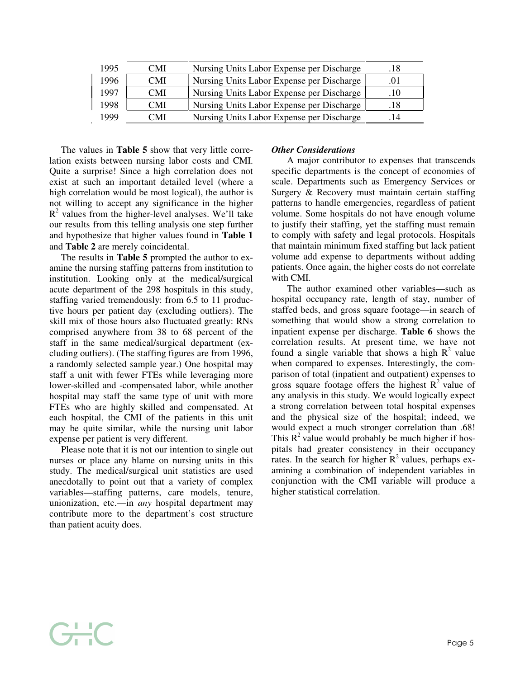| 1995 | CMI. | Nursing Units Labor Expense per Discharge |  |
|------|------|-------------------------------------------|--|
| 1996 | CMI  | Nursing Units Labor Expense per Discharge |  |
| 1997 | CMI. | Nursing Units Labor Expense per Discharge |  |
| 1998 | CMI. | Nursing Units Labor Expense per Discharge |  |
|      | CMI. | Nursing Units Labor Expense per Discharge |  |

The values in **Table 5** show that very little correlation exists between nursing labor costs and CMI. Quite a surprise! Since a high correlation does not exist at such an important detailed level (where a high correlation would be most logical), the author is not willing to accept any significance in the higher  $R<sup>2</sup>$  values from the higher-level analyses. We'll take our results from this telling analysis one step further and hypothesize that higher values found in **Table 1** and **Table 2** are merely coincidental.

The results in **Table 5** prompted the author to examine the nursing staffing patterns from institution to institution. Looking only at the medical/surgical acute department of the 298 hospitals in this study, staffing varied tremendously: from 6.5 to 11 productive hours per patient day (excluding outliers). The skill mix of those hours also fluctuated greatly: RNs comprised anywhere from 38 to 68 percent of the staff in the same medical/surgical department (excluding outliers). (The staffing figures are from 1996, a randomly selected sample year.) One hospital may staff a unit with fewer FTEs while leveraging more lower-skilled and -compensated labor, while another hospital may staff the same type of unit with more FTEs who are highly skilled and compensated. At each hospital, the CMI of the patients in this unit may be quite similar, while the nursing unit labor expense per patient is very different.

Please note that it is not our intention to single out nurses or place any blame on nursing units in this study. The medical/surgical unit statistics are used anecdotally to point out that a variety of complex variables—staffing patterns, care models, tenure, unionization, etc.—in *any* hospital department may contribute more to the department's cost structure than patient acuity does.

GHC

# *Other Considerations*

A major contributor to expenses that transcends specific departments is the concept of economies of scale. Departments such as Emergency Services or Surgery & Recovery must maintain certain staffing patterns to handle emergencies, regardless of patient volume. Some hospitals do not have enough volume to justify their staffing, yet the staffing must remain to comply with safety and legal protocols. Hospitals that maintain minimum fixed staffing but lack patient volume add expense to departments without adding patients. Once again, the higher costs do not correlate with CMI.

The author examined other variables—such as hospital occupancy rate, length of stay, number of staffed beds, and gross square footage—in search of something that would show a strong correlation to inpatient expense per discharge. **Table 6** shows the correlation results. At present time, we have not found a single variable that shows a high  $R^2$  value when compared to expenses. Interestingly, the comparison of total (inpatient and outpatient) expenses to gross square footage offers the highest  $R^2$  value of any analysis in this study. We would logically expect a strong correlation between total hospital expenses and the physical size of the hospital; indeed, we would expect a much stronger correlation than .68! This  $R^2$  value would probably be much higher if hospitals had greater consistency in their occupancy rates. In the search for higher  $R^2$  values, perhaps examining a combination of independent variables in conjunction with the CMI variable will produce a higher statistical correlation.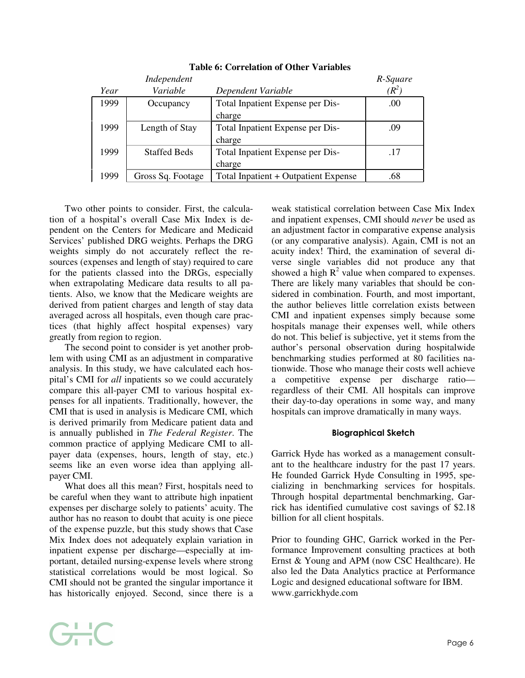|      | Independent       |                                      | R-Square |
|------|-------------------|--------------------------------------|----------|
| Year | Variable          | Dependent Variable                   |          |
| 1999 | Occupancy         | Total Inpatient Expense per Dis-     | (0)      |
|      |                   | charge                               |          |
| 1999 | Length of Stay    | Total Inpatient Expense per Dis-     | 09       |
|      |                   | charge                               |          |
| 1999 | Staffed Beds      | Total Inpatient Expense per Dis-     | 17       |
|      |                   | charge                               |          |
| 1999 | Gross Sq. Footage | Total Inpatient + Outpatient Expense | .68      |

# **Table 6: Correlation of Other Variables**

Two other points to consider. First, the calculation of a hospital's overall Case Mix Index is dependent on the Centers for Medicare and Medicaid Services' published DRG weights. Perhaps the DRG weights simply do not accurately reflect the resources (expenses and length of stay) required to care for the patients classed into the DRGs, especially when extrapolating Medicare data results to all patients. Also, we know that the Medicare weights are derived from patient charges and length of stay data averaged across all hospitals, even though care practices (that highly affect hospital expenses) vary greatly from region to region.

The second point to consider is yet another problem with using CMI as an adjustment in comparative analysis. In this study, we have calculated each hospital's CMI for *all* inpatients so we could accurately compare this all-payer CMI to various hospital expenses for all inpatients. Traditionally, however, the CMI that is used in analysis is Medicare CMI, which is derived primarily from Medicare patient data and is annually published in *The Federal Register*. The common practice of applying Medicare CMI to allpayer data (expenses, hours, length of stay, etc.) seems like an even worse idea than applying allpayer CMI.

What does all this mean? First, hospitals need to be careful when they want to attribute high inpatient expenses per discharge solely to patients' acuity. The author has no reason to doubt that acuity is one piece of the expense puzzle, but this study shows that Case Mix Index does not adequately explain variation in inpatient expense per discharge—especially at important, detailed nursing-expense levels where strong statistical correlations would be most logical. So CMI should not be granted the singular importance it has historically enjoyed. Second, since there is a

GHC

weak statistical correlation between Case Mix Index and inpatient expenses, CMI should *never* be used as an adjustment factor in comparative expense analysis (or any comparative analysis). Again, CMI is not an acuity index! Third, the examination of several diverse single variables did not produce any that showed a high  $R^2$  value when compared to expenses. There are likely many variables that should be considered in combination. Fourth, and most important, the author believes little correlation exists between CMI and inpatient expenses simply because some hospitals manage their expenses well, while others do not. This belief is subjective, yet it stems from the author's personal observation during hospitalwide benchmarking studies performed at 80 facilities nationwide. Those who manage their costs well achieve a competitive expense per discharge ratio regardless of their CMI. All hospitals can improve their day-to-day operations in some way, and many hospitals can improve dramatically in many ways.

# Biographical Sketch

Garrick Hyde has worked as a management consultant to the healthcare industry for the past 17 years. He founded Garrick Hyde Consulting in 1995, specializing in benchmarking services for hospitals. Through hospital departmental benchmarking, Garrick has identified cumulative cost savings of \$2.18 billion for all client hospitals.

Prior to founding GHC, Garrick worked in the Performance Improvement consulting practices at both Ernst & Young and APM (now CSC Healthcare). He also led the Data Analytics practice at Performance Logic and designed educational software for IBM. www.garrickhyde.com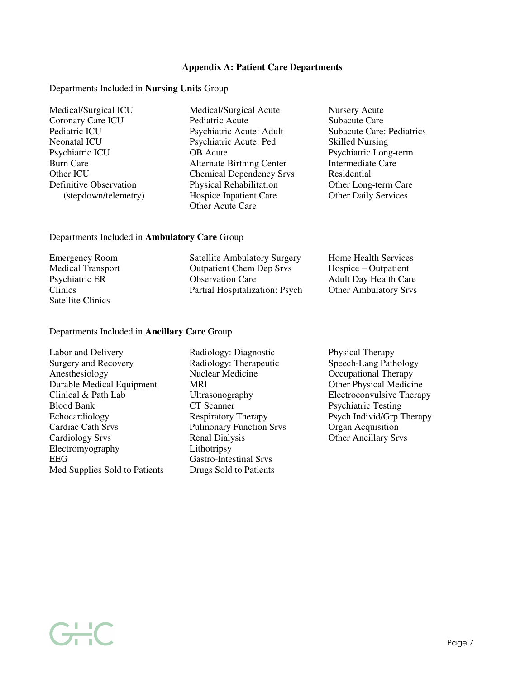## **Appendix A: Patient Care Departments**

#### Departments Included in **Nursing Units** Group

- 
- Medical/Surgical ICU Medical/Surgical Acute Nursery Acute Coronary Care ICU<br>
Pediatric Acute Care<br>
Pediatric Acute: Adult Subacute Care: Pediatrics<br>
Pediatric Acute: Adult Subacute Care: Pediatrics Psychiatric Acute: Adult Neonatal ICU Psychiatric Acute: Ped Skilled Nursing Psychiatric ICU OB Acute Psychiatric Long-term Burn Care **Alternate Birthing Center** Intermediate Care Other ICU<br>
Other ICU Chemical Dependency Srvs<br>
Definitive Observation<br>
Physical Rehabilitation<br>
Other Long-term Care Physical Rehabilitation (stepdown/telemetry) Hospice Inpatient Care Other Daily Services Other Acute Care
	-

## Departments Included in **Ambulatory Care** Group

| <b>Emergency Room</b>    | <b>Satellite Ambulatory Surgery</b> | Home Health Services         |
|--------------------------|-------------------------------------|------------------------------|
| <b>Medical Transport</b> | <b>Outpatient Chem Dep Srvs</b>     | Hospice – Outpatient         |
| Psychiatric ER           | <b>Observation Care</b>             | <b>Adult Day Health Care</b> |
| <b>Clinics</b>           | Partial Hospitalization: Psych      | <b>Other Ambulatory Srvs</b> |
| Satellite Clinics        |                                     |                              |

## Departments Included in **Ancillary Care** Group

| Labor and Delivery            | Radiology: Diagnostic         |
|-------------------------------|-------------------------------|
| <b>Surgery and Recovery</b>   | Radiology: Therapeutic        |
| Anesthesiology                | Nuclear Medicine              |
| Durable Medical Equipment     | MRI                           |
| Clinical & Path Lab           | Ultrasonography               |
| <b>Blood Bank</b>             | CT Scanner                    |
| Echocardiology                | Respiratory Therapy           |
| <b>Cardiac Cath Srvs</b>      | <b>Pulmonary Function Si</b>  |
| <b>Cardiology Srvs</b>        | <b>Renal Dialysis</b>         |
| Electromyography              | Lithotripsy                   |
| <b>EEG</b>                    | <b>Gastro-Intestinal Srvs</b> |
| Med Supplies Sold to Patients | Drugs Sold to Patients        |
|                               |                               |

GHC

Radiology: Diagnostic Physical Therapy Radiology: Therapeutic Speech-Lang Pathology Nuclear Medicine **Occupational Therapy** MRI Other Physical Medicine Pulmonary Function Srvs Organ Acquisition<br>
Renal Dialysis Other Ancillary Srv Lithotripsy Gastro-Intestinal Srvs

Ultrasonography Electroconvulsive Therapy<br>
CT Scanner Psychiatric Testing Psychiatric Testing Respiratory Therapy Psych Individ/Grp Therapy Other Ancillary Srvs